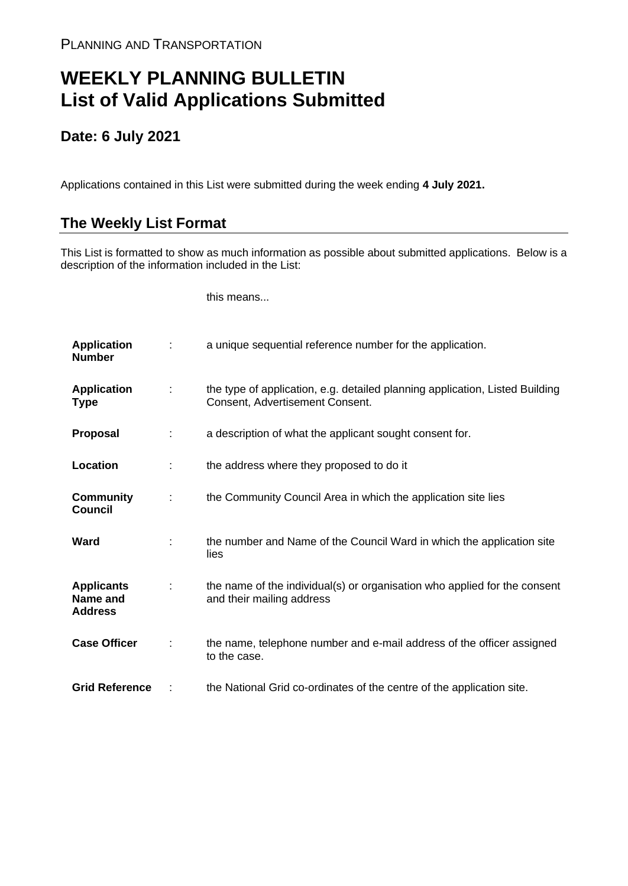## **WEEKLY PLANNING BULLETIN List of Valid Applications Submitted**

## **Date: 6 July 2021**

Applications contained in this List were submitted during the week ending **4 July 2021.**

## **The Weekly List Format**

This List is formatted to show as much information as possible about submitted applications. Below is a description of the information included in the List:

this means...

| <b>Application</b><br><b>Number</b>             |   | a unique sequential reference number for the application.                                                       |
|-------------------------------------------------|---|-----------------------------------------------------------------------------------------------------------------|
| <b>Application</b><br><b>Type</b>               | ÷ | the type of application, e.g. detailed planning application, Listed Building<br>Consent, Advertisement Consent. |
| <b>Proposal</b>                                 | ÷ | a description of what the applicant sought consent for.                                                         |
| Location                                        | ÷ | the address where they proposed to do it                                                                        |
| <b>Community</b><br><b>Council</b>              | ÷ | the Community Council Area in which the application site lies                                                   |
| Ward                                            |   | the number and Name of the Council Ward in which the application site<br>lies                                   |
| <b>Applicants</b><br>Name and<br><b>Address</b> |   | the name of the individual(s) or organisation who applied for the consent<br>and their mailing address          |
| <b>Case Officer</b>                             | ÷ | the name, telephone number and e-mail address of the officer assigned<br>to the case.                           |
| <b>Grid Reference</b>                           |   | the National Grid co-ordinates of the centre of the application site.                                           |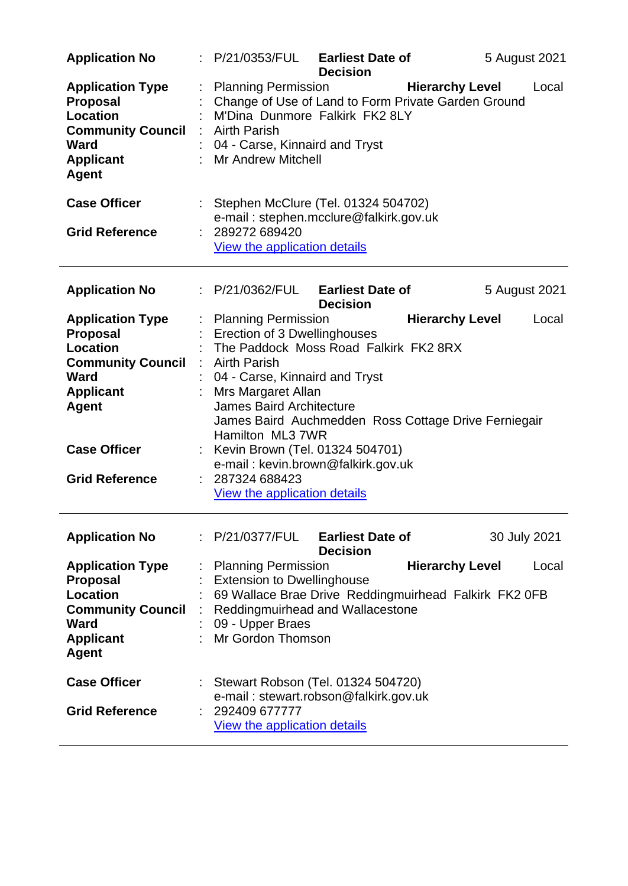| <b>Application No</b>                                                                                                                        | : P/21/0353/FUL                                                                                                                                                                                                                                                                              | <b>Earliest Date of</b><br><b>Decision</b> |                        | 5 August 2021 |
|----------------------------------------------------------------------------------------------------------------------------------------------|----------------------------------------------------------------------------------------------------------------------------------------------------------------------------------------------------------------------------------------------------------------------------------------------|--------------------------------------------|------------------------|---------------|
| <b>Application Type</b><br><b>Proposal</b><br><b>Location</b><br><b>Community Council</b><br><b>Ward</b><br><b>Applicant</b><br>Agent        | <b>Planning Permission</b><br>Change of Use of Land to Form Private Garden Ground<br>M'Dina Dunmore Falkirk FK2 8LY<br><b>Airth Parish</b><br>04 - Carse, Kinnaird and Tryst<br><b>Mr Andrew Mitchell</b>                                                                                    |                                            | <b>Hierarchy Level</b> | Local         |
| <b>Case Officer</b>                                                                                                                          | Stephen McClure (Tel. 01324 504702)<br>e-mail: stephen.mcclure@falkirk.gov.uk                                                                                                                                                                                                                |                                            |                        |               |
| <b>Grid Reference</b>                                                                                                                        | 289272 689420<br>View the application details                                                                                                                                                                                                                                                |                                            |                        |               |
| <b>Application No</b>                                                                                                                        | : P/21/0362/FUL                                                                                                                                                                                                                                                                              | <b>Earliest Date of</b><br><b>Decision</b> |                        | 5 August 2021 |
| <b>Application Type</b><br><b>Proposal</b><br>Location<br><b>Community Council</b><br><b>Ward</b><br><b>Applicant</b><br><b>Agent</b>        | <b>Planning Permission</b><br>Erection of 3 Dwellinghouses<br>The Paddock Moss Road Falkirk FK2 8RX<br>: Airth Parish<br>04 - Carse, Kinnaird and Tryst<br>Mrs Margaret Allan<br><b>James Baird Architecture</b><br>James Baird Auchmedden Ross Cottage Drive Ferniegair<br>Hamilton ML3 7WR |                                            | <b>Hierarchy Level</b> | Local         |
| <b>Case Officer</b><br><b>Grid Reference</b>                                                                                                 | : Kevin Brown (Tel. 01324 504701)<br>e-mail: kevin.brown@falkirk.gov.uk<br>287324 688423<br>View the application details                                                                                                                                                                     |                                            |                        |               |
| <b>Application No</b>                                                                                                                        | : P/21/0377/FUL                                                                                                                                                                                                                                                                              | <b>Earliest Date of</b><br><b>Decision</b> |                        | 30 July 2021  |
| <b>Application Type</b><br><b>Proposal</b><br><b>Location</b><br><b>Community Council</b><br><b>Ward</b><br><b>Applicant</b><br><b>Agent</b> | <b>Planning Permission</b><br><b>Extension to Dwellinghouse</b><br>69 Wallace Brae Drive Reddingmuirhead Falkirk FK2 0FB<br>Reddingmuirhead and Wallacestone<br>09 - Upper Braes<br>Mr Gordon Thomson                                                                                        |                                            | <b>Hierarchy Level</b> | Local         |
| <b>Case Officer</b><br><b>Grid Reference</b>                                                                                                 | Stewart Robson (Tel. 01324 504720)<br>e-mail: stewart.robson@falkirk.gov.uk<br>292409 677777<br>View the application details                                                                                                                                                                 |                                            |                        |               |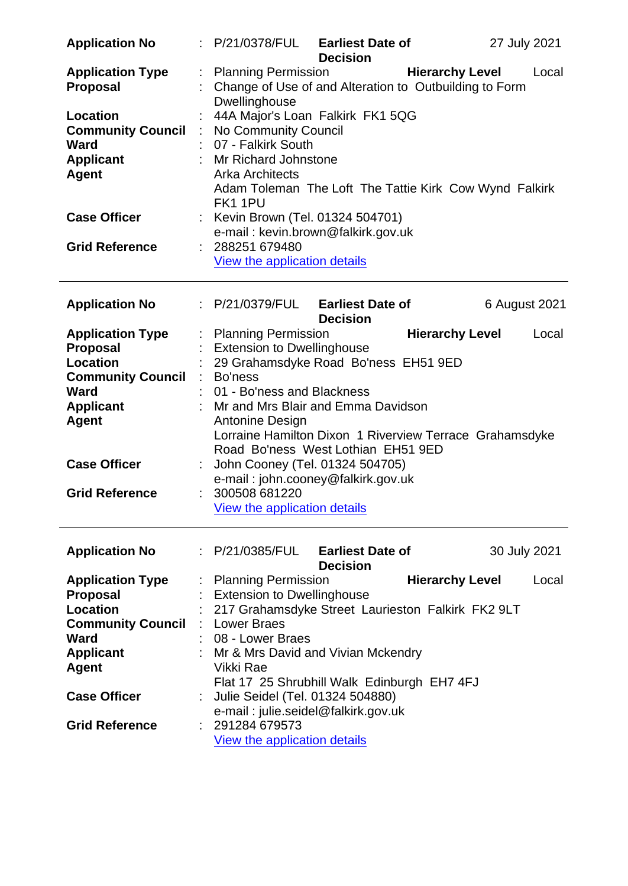| <b>Application No</b>                      |                      | : P/21/0378/FUL Earliest Date of<br>27 July 2021<br><b>Decision</b>                                                                 |
|--------------------------------------------|----------------------|-------------------------------------------------------------------------------------------------------------------------------------|
| <b>Application Type</b><br><b>Proposal</b> |                      | <b>Hierarchy Level</b><br>: Planning Permission<br>Local<br>Change of Use of and Alteration to Outbuilding to Form<br>Dwellinghouse |
| Location                                   | t                    | 44A Major's Loan Falkirk FK1 5QG                                                                                                    |
| <b>Community Council</b>                   | $\ddot{\phantom{a}}$ | No Community Council                                                                                                                |
| <b>Ward</b>                                |                      | 07 - Falkirk South                                                                                                                  |
| <b>Applicant</b>                           |                      | : Mr Richard Johnstone                                                                                                              |
| <b>Agent</b>                               |                      | <b>Arka Architects</b>                                                                                                              |
|                                            |                      | Adam Toleman The Loft The Tattie Kirk Cow Wynd Falkirk<br>FK1 1PU                                                                   |
| <b>Case Officer</b>                        |                      | : Kevin Brown (Tel. 01324 504701)                                                                                                   |
|                                            |                      | e-mail: kevin.brown@falkirk.gov.uk                                                                                                  |
| <b>Grid Reference</b>                      |                      | 288251 679480                                                                                                                       |
|                                            |                      | <b>View the application details</b>                                                                                                 |
| <b>Application No</b>                      |                      | : P/21/0379/FUL Earliest Date of<br>6 August 2021<br><b>Decision</b>                                                                |
| <b>Application Type</b>                    |                      | : Planning Permission<br><b>Hierarchy Level</b><br>Local                                                                            |
| <b>Proposal</b>                            |                      | <b>Extension to Dwellinghouse</b>                                                                                                   |
| <b>Location</b>                            | t                    | 29 Grahamsdyke Road Bo'ness EH51 9ED                                                                                                |
| <b>Community Council</b>                   |                      | : Bo'ness                                                                                                                           |
| <b>Ward</b>                                |                      | 01 - Bo'ness and Blackness                                                                                                          |
| <b>Applicant</b>                           |                      | : Mr and Mrs Blair and Emma Davidson                                                                                                |
| <b>Agent</b>                               |                      | Antonine Design                                                                                                                     |
|                                            |                      | Lorraine Hamilton Dixon 1 Riverview Terrace Grahamsdyke                                                                             |
|                                            |                      | Road Bo'ness West Lothian EH51 9ED                                                                                                  |
| <b>Case Officer</b>                        |                      | John Cooney (Tel. 01324 504705)<br>e-mail: john.cooney@falkirk.gov.uk                                                               |
| <b>Grid Reference</b>                      |                      | 300508 681220                                                                                                                       |
|                                            |                      | View the application details                                                                                                        |
|                                            |                      |                                                                                                                                     |
| <b>Application No</b>                      |                      | : P/21/0385/FUL<br><b>Earliest Date of</b><br>30 July 2021<br><b>Decision</b>                                                       |
| <b>Application Type</b>                    |                      | <b>Hierarchy Level</b><br><b>Planning Permission</b><br>Local                                                                       |
| <b>Proposal</b>                            |                      | <b>Extension to Dwellinghouse</b>                                                                                                   |
| <b>Location</b>                            |                      | 217 Grahamsdyke Street Laurieston Falkirk FK2 9LT                                                                                   |
| <b>Community Council</b>                   |                      | : Lower Braes                                                                                                                       |
| <b>Ward</b>                                |                      | 08 - Lower Braes                                                                                                                    |
| <b>Applicant</b>                           |                      | : Mr & Mrs David and Vivian Mckendry                                                                                                |
| <b>Agent</b>                               |                      | Vikki Rae                                                                                                                           |
|                                            |                      | Flat 17 25 Shrubhill Walk Edinburgh EH7 4FJ                                                                                         |
| <b>Case Officer</b>                        |                      | Julie Seidel (Tel. 01324 504880)                                                                                                    |
|                                            |                      | e-mail: julie.seidel@falkirk.gov.uk                                                                                                 |
| <b>Grid Reference</b>                      |                      | : 291284 679573                                                                                                                     |
|                                            |                      | <b>View the application details</b>                                                                                                 |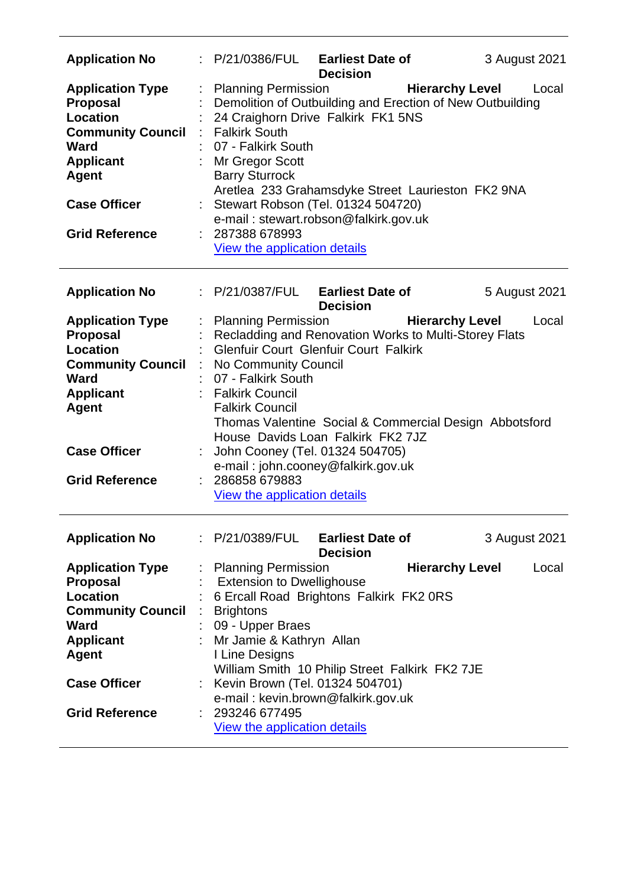| <b>Application No</b>                                                                                                                                                                        | P/21/0386/FUL Earliest Date of                                                                                                                                                                                                                                                                                                                                                 | <b>Decision</b> | 3 August 2021                   |
|----------------------------------------------------------------------------------------------------------------------------------------------------------------------------------------------|--------------------------------------------------------------------------------------------------------------------------------------------------------------------------------------------------------------------------------------------------------------------------------------------------------------------------------------------------------------------------------|-----------------|---------------------------------|
| <b>Application Type</b><br><b>Proposal</b><br><b>Location</b><br><b>Community Council</b><br><b>Ward</b><br><b>Applicant</b><br><b>Agent</b><br><b>Case Officer</b><br><b>Grid Reference</b> | <b>Planning Permission</b><br>Demolition of Outbuilding and Erection of New Outbuilding<br>24 Craighorn Drive Falkirk FK1 5NS<br><b>Falkirk South</b><br>07 - Falkirk South<br>Mr Gregor Scott<br><b>Barry Sturrock</b><br>Aretlea 233 Grahamsdyke Street Laurieston FK2 9NA<br>: Stewart Robson (Tel. 01324 504720)<br>e-mail: stewart.robson@falkirk.gov.uk<br>287388 678993 |                 | <b>Hierarchy Level</b><br>Local |
|                                                                                                                                                                                              | <b>View the application details</b>                                                                                                                                                                                                                                                                                                                                            |                 |                                 |
| <b>Application No</b>                                                                                                                                                                        | : P/21/0387/FUL Earliest Date of                                                                                                                                                                                                                                                                                                                                               | <b>Decision</b> | 5 August 2021                   |
| <b>Application Type</b><br><b>Proposal</b><br><b>Location</b><br><b>Community Council</b><br><b>Ward</b><br><b>Applicant</b><br><b>Agent</b><br><b>Case Officer</b>                          | <b>Planning Permission</b><br>Recladding and Renovation Works to Multi-Storey Flats<br><b>Glenfuir Court Glenfuir Court Falkirk</b><br>No Community Council<br>07 - Falkirk South<br><b>Falkirk Council</b><br><b>Falkirk Council</b><br>Thomas Valentine Social & Commercial Design Abbotsford<br>House Davids Loan Falkirk FK2 7JZ<br>John Cooney (Tel. 01324 504705)        |                 | <b>Hierarchy Level</b><br>Local |
| <b>Grid Reference</b>                                                                                                                                                                        | e-mail: john.cooney@falkirk.gov.uk<br>286858 679883<br>View the application details                                                                                                                                                                                                                                                                                            |                 |                                 |
| <b>Application No</b>                                                                                                                                                                        | : P/21/0389/FUL Earliest Date of                                                                                                                                                                                                                                                                                                                                               | <b>Decision</b> | 3 August 2021                   |
| <b>Application Type</b><br><b>Proposal</b><br>Location<br><b>Community Council</b><br><b>Ward</b><br><b>Applicant</b><br><b>Agent</b>                                                        | <b>Planning Permission</b><br><b>Extension to Dwellighouse</b><br>6 Ercall Road Brightons Falkirk FK2 0RS<br><b>Brightons</b><br>09 - Upper Braes<br>: Mr Jamie & Kathryn Allan<br>I Line Designs<br>William Smith 10 Philip Street Falkirk FK2 7JE                                                                                                                            |                 | <b>Hierarchy Level</b><br>Local |
| <b>Case Officer</b>                                                                                                                                                                          | Kevin Brown (Tel. 01324 504701)<br>e-mail: kevin.brown@falkirk.gov.uk                                                                                                                                                                                                                                                                                                          |                 |                                 |
| <b>Grid Reference</b>                                                                                                                                                                        | : 293246 677495<br><b>View the application details</b>                                                                                                                                                                                                                                                                                                                         |                 |                                 |